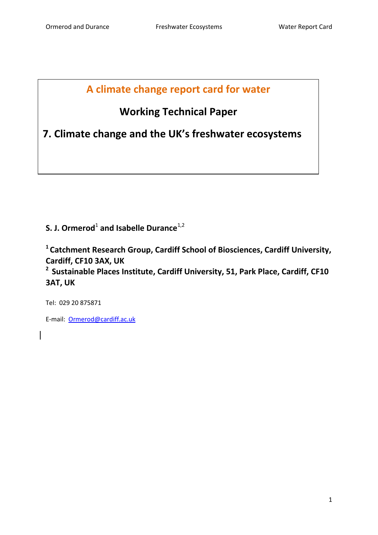## **A climate change report card for water**

# **Working Technical Paper**

**7. Climate change and the UK's freshwater ecosystems**

**S. J. Ormerod**<sup>1</sup> and Isabelle Durance<sup>1,2</sup>

**1 Catchment Research Group, Cardiff School of Biosciences, Cardiff University, Cardiff, CF10 3AX, UK**

**2 Sustainable Places Institute, Cardiff University, 51, Park Place, Cardiff, CF10 3AT, UK**

Tel: 029 20 875871

E-mail: [Ormerod@cardiff.ac.uk](mailto:Ormerod@cardiff.ac.uk)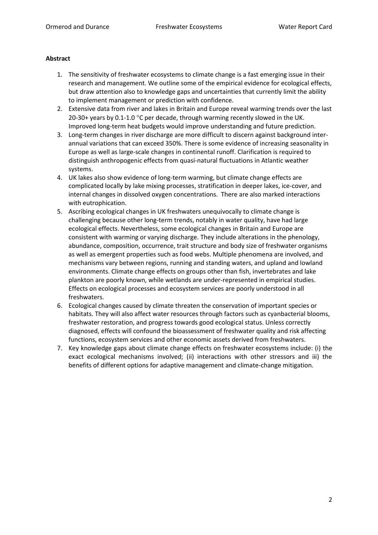## **Abstract**

- 1. The sensitivity of freshwater ecosystems to climate change is a fast emerging issue in their research and management. We outline some of the empirical evidence for ecological effects, but draw attention also to knowledge gaps and uncertainties that currently limit the ability to implement management or prediction with confidence.
- 2. Extensive data from river and lakes in Britain and Europe reveal warming trends over the last 20-30+ years by 0.1-1.0  $^{\circ}$ C per decade, through warming recently slowed in the UK. Improved long-term heat budgets would improve understanding and future prediction.
- 3. Long-term changes in river discharge are more difficult to discern against background interannual variations that can exceed 350%. There is some evidence of increasing seasonality in Europe as well as large-scale changes in continental runoff. Clarification is required to distinguish anthropogenic effects from quasi-natural fluctuations in Atlantic weather systems.
- 4. UK lakes also show evidence of long-term warming, but climate change effects are complicated locally by lake mixing processes, stratification in deeper lakes, ice-cover, and internal changes in dissolved oxygen concentrations. There are also marked interactions with eutrophication.
- 5. Ascribing ecological changes in UK freshwaters unequivocally to climate change is challenging because other long-term trends, notably in water quality, have had large ecological effects. Nevertheless, some ecological changes in Britain and Europe are consistent with warming or varying discharge. They include alterations in the phenology, abundance, composition, occurrence, trait structure and body size of freshwater organisms as well as emergent properties such as food webs. Multiple phenomena are involved, and mechanisms vary between regions, running and standing waters, and upland and lowland environments. Climate change effects on groups other than fish, invertebrates and lake plankton are poorly known, while wetlands are under-represented in empirical studies. Effects on ecological processes and ecosystem services are poorly understood in all freshwaters.
- 6. Ecological changes caused by climate threaten the conservation of important species or habitats. They will also affect water resources through factors such as cyanbacterial blooms, freshwater restoration, and progress towards good ecological status. Unless correctly diagnosed, effects will confound the bioassessment of freshwater quality and risk affecting functions, ecosystem services and other economic assets derived from freshwaters.
- 7. Key knowledge gaps about climate change effects on freshwater ecosystems include: (i) the exact ecological mechanisms involved; (ii) interactions with other stressors and iii) the benefits of different options for adaptive management and climate-change mitigation.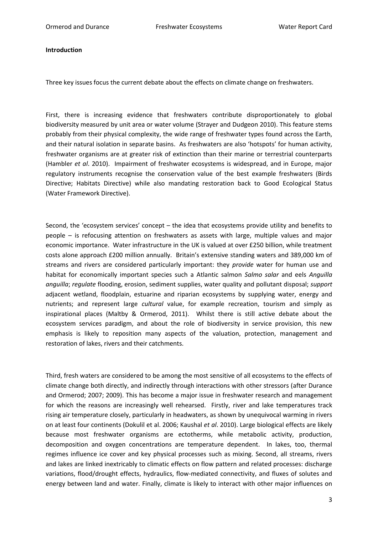#### **Introduction**

Three key issues focus the current debate about the effects on climate change on freshwaters.

First, there is increasing evidence that freshwaters contribute disproportionately to global biodiversity measured by unit area or water volume (Strayer and Dudgeon 2010). This feature stems probably from their physical complexity, the wide range of freshwater types found across the Earth, and their natural isolation in separate basins. As freshwaters are also 'hotspots' for human activity, freshwater organisms are at greater risk of extinction than their marine or terrestrial counterparts (Hambler *et al*. 2010). Impairment of freshwater ecosystems is widespread, and in Europe, major regulatory instruments recognise the conservation value of the best example freshwaters (Birds Directive; Habitats Directive) while also mandating restoration back to Good Ecological Status (Water Framework Directive).

Second, the 'ecosystem services' concept – the idea that ecosystems provide utility and benefits to people – is refocusing attention on freshwaters as assets with large, multiple values and major economic importance. Water infrastructure in the UK is valued at over £250 billion, while treatment costs alone approach £200 million annually. Britain's extensive standing waters and 389,000 km of streams and rivers are considered particularly important: they *provide* water for human use and habitat for economically important species such a Atlantic salmon *Salmo salar* and eels *Anguilla anguilla*; *regulate* flooding, erosion, sediment supplies, water quality and pollutant disposal; *support* adjacent wetland, floodplain, estuarine and riparian ecosystems by supplying water, energy and nutrients; and represent large *cultural* value, for example recreation, tourism and simply as inspirational places (Maltby & Ormerod, 2011). Whilst there is still active debate about the ecosystem services paradigm, and about the role of biodiversity in service provision, this new emphasis is likely to reposition many aspects of the valuation, protection, management and restoration of lakes, rivers and their catchments.

Third, fresh waters are considered to be among the most sensitive of all ecosystems to the effects of climate change both directly, and indirectly through interactions with other stressors (after Durance and Ormerod; 2007; 2009). This has become a major issue in freshwater research and management for which the reasons are increasingly well rehearsed. Firstly, river and lake temperatures track rising air temperature closely, particularly in headwaters, as shown by unequivocal warming in rivers on at least four continents (Dokulil et al. 2006; Kaushal *et al*. 2010). Large biological effects are likely because most freshwater organisms are ectotherms, while metabolic activity, production, decomposition and oxygen concentrations are temperature dependent. In lakes, too, thermal regimes influence ice cover and key physical processes such as mixing. Second, all streams, rivers and lakes are linked inextricably to climatic effects on flow pattern and related processes: discharge variations, flood/drought effects, hydraulics, flow-mediated connectivity, and fluxes of solutes and energy between land and water. Finally, climate is likely to interact with other major influences on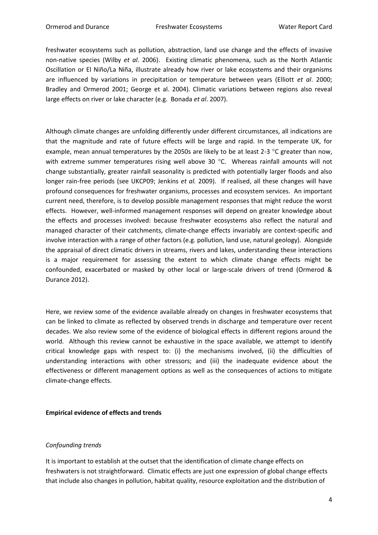freshwater ecosystems such as pollution, abstraction, land use change and the effects of invasive non-native species (Wilby *et al*. 2006). Existing climatic phenomena, such as the North Atlantic Oscillation or El Niño/La Niña, illustrate already how river or lake ecosystems and their organisms are influenced by variations in precipitation or temperature between years (Elliott *et al*. 2000; Bradley and Ormerod 2001; George et al. 2004). Climatic variations between regions also reveal large effects on river or lake character (e.g. Bonada *et al*. 2007).

Although climate changes are unfolding differently under different circumstances, all indications are that the magnitude and rate of future effects will be large and rapid. In the temperate UK, for example, mean annual temperatures by the 2050s are likely to be at least 2-3  $\degree$ C greater than now, with extreme summer temperatures rising well above 30  $^{\circ}$ C. Whereas rainfall amounts will not change substantially, greater rainfall seasonality is predicted with potentially larger floods and also longer rain-free periods (see UKCP09; Jenkins *et al.* 2009). If realised, all these changes will have profound consequences for freshwater organisms, processes and ecosystem services. An important current need, therefore, is to develop possible management responses that might reduce the worst effects. However, well-informed management responses will depend on greater knowledge about the effects and processes involved: because freshwater ecosystems also reflect the natural and managed character of their catchments, climate-change effects invariably are context-specific and involve interaction with a range of other factors (e.g. pollution, land use, natural geology). Alongside the appraisal of direct climatic drivers in streams, rivers and lakes, understanding these interactions is a major requirement for assessing the extent to which climate change effects might be confounded, exacerbated or masked by other local or large-scale drivers of trend (Ormerod & Durance 2012).

Here, we review some of the evidence available already on changes in freshwater ecosystems that can be linked to climate as reflected by observed trends in discharge and temperature over recent decades. We also review some of the evidence of biological effects in different regions around the world. Although this review cannot be exhaustive in the space available, we attempt to identify critical knowledge gaps with respect to: (i) the mechanisms involved, (ii) the difficulties of understanding interactions with other stressors; and (iii) the inadequate evidence about the effectiveness or different management options as well as the consequences of actions to mitigate climate-change effects.

## **Empirical evidence of effects and trends**

## *Confounding trends*

It is important to establish at the outset that the identification of climate change effects on freshwaters is not straightforward. Climatic effects are just one expression of global change effects that include also changes in pollution, habitat quality, resource exploitation and the distribution of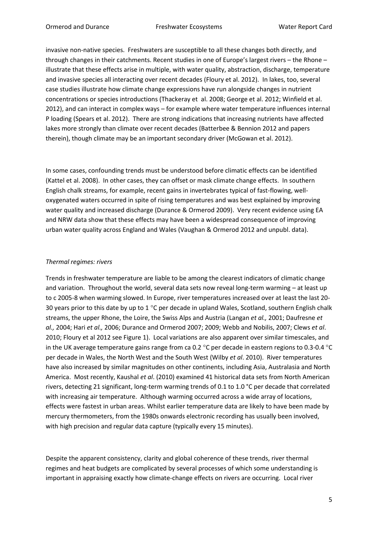invasive non-native species. Freshwaters are susceptible to all these changes both directly, and through changes in their catchments. Recent studies in one of Europe's largest rivers – the Rhone – illustrate that these effects arise in multiple, with water quality, abstraction, discharge, temperature and invasive species all interacting over recent decades (Floury et al. 2012). In lakes, too, several case studies illustrate how climate change expressions have run alongside changes in nutrient concentrations or species introductions (Thackeray et al. 2008; George et al. 2012; Winfield et al. 2012), and can interact in complex ways – for example where water temperature influences internal P loading (Spears et al. 2012). There are strong indications that increasing nutrients have affected lakes more strongly than climate over recent decades (Batterbee & Bennion 2012 and papers therein), though climate may be an important secondary driver (McGowan et al. 2012).

In some cases, confounding trends must be understood before climatic effects can be identified (Kattel et al. 2008). In other cases, they can offset or mask climate change effects. In southern English chalk streams, for example, recent gains in invertebrates typical of fast-flowing, welloxygenated waters occurred in spite of rising temperatures and was best explained by improving water quality and increased discharge (Durance & Ormerod 2009). Very recent evidence using EA and NRW data show that these effects may have been a widespread consequence of improving urban water quality across England and Wales (Vaughan & Ormerod 2012 and unpubl. data).

## *Thermal regimes: rivers*

Trends in freshwater temperature are liable to be among the clearest indicators of climatic change and variation. Throughout the world, several data sets now reveal long-term warming – at least up to c 2005-8 when warming slowed. In Europe, river temperatures increased over at least the last 20- 30 years prior to this date by up to 1  $^{\circ}$ C per decade in upland Wales, Scotland, southern English chalk streams, the upper Rhone, the Loire, the Swiss Alps and Austria (Langan *et al.,* 2001; Daufresne *et al.,* 2004; Hari *et al.,* 2006; Durance and Ormerod 2007; 2009; Webb and Nobilis, 2007; Clews *et al*. 2010; Floury et al 2012 see Figure 1). Local variations are also apparent over similar timescales, and in the UK average temperature gains range from ca 0.2  $^{\circ}$ C per decade in eastern regions to 0.3-0.4  $^{\circ}$ C per decade in Wales, the North West and the South West (Wilby *et al*. 2010). River temperatures have also increased by similar magnitudes on other continents, including Asia, Australasia and North America. Most recently, Kaushal *et al*. (2010) examined 41 historical data sets from North American rivers, detecting 21 significant, long-term warming trends of 0.1 to 1.0 °C per decade that correlated with increasing air temperature. Although warming occurred across a wide array of locations, effects were fastest in urban areas. Whilst earlier temperature data are likely to have been made by mercury thermometers, from the 1980s onwards electronic recording has usually been involved, with high precision and regular data capture (typically every 15 minutes).

Despite the apparent consistency, clarity and global coherence of these trends, river thermal regimes and heat budgets are complicated by several processes of which some understanding is important in appraising exactly how climate-change effects on rivers are occurring. Local river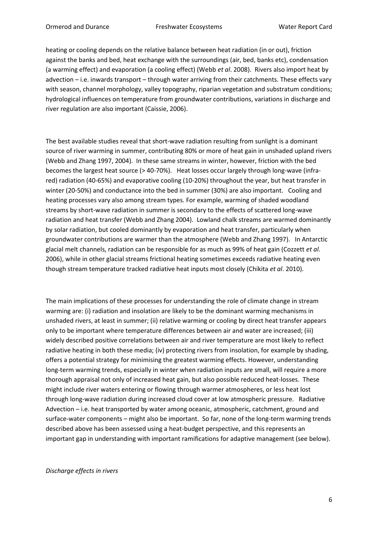heating or cooling depends on the relative balance between heat radiation (in or out), friction against the banks and bed, heat exchange with the surroundings (air, bed, banks etc), condensation (a warming effect) and evaporation (a cooling effect) (Webb *et al*. 2008). Rivers also import heat by advection – i.e. inwards transport – through water arriving from their catchments. These effects vary with season, channel morphology, valley topography, riparian vegetation and substratum conditions; hydrological influences on temperature from groundwater contributions, variations in discharge and river regulation are also important (Caissie, 2006).

The best available studies reveal that short-wave radiation resulting from sunlight is a dominant source of river warming in summer, contributing 80% or more of heat gain in unshaded upland rivers (Webb and Zhang 1997, 2004). In these same streams in winter, however, friction with the bed becomes the largest heat source (> 40-70%). Heat losses occur largely through long-wave (infrared) radiation (40-65%) and evaporative cooling (10-20%) throughout the year, but heat transfer in winter (20-50%) and conductance into the bed in summer (30%) are also important. Cooling and heating processes vary also among stream types. For example, warming of shaded woodland streams by short-wave radiation in summer is secondary to the effects of scattered long-wave radiation and heat transfer (Webb and Zhang 2004). Lowland chalk streams are warmed dominantly by solar radiation, but cooled dominantly by evaporation and heat transfer, particularly when groundwater contributions are warmer than the atmosphere (Webb and Zhang 1997). In Antarctic glacial melt channels, radiation can be responsible for as much as 99% of heat gain (Cozzett *et al*. 2006), while in other glacial streams frictional heating sometimes exceeds radiative heating even though stream temperature tracked radiative heat inputs most closely (Chikita *et al*. 2010).

The main implications of these processes for understanding the role of climate change in stream warming are: (i) radiation and insolation are likely to be the dominant warming mechanisms in unshaded rivers, at least in summer; (ii) relative warming or cooling by direct heat transfer appears only to be important where temperature differences between air and water are increased; (iii) widely described positive correlations between air and river temperature are most likely to reflect radiative heating in both these media; (iv) protecting rivers from insolation, for example by shading, offers a potential strategy for minimising the greatest warming effects. However, understanding long-term warming trends, especially in winter when radiation inputs are small, will require a more thorough appraisal not only of increased heat gain, but also possible reduced heat-losses. These might include river waters entering or flowing through warmer atmospheres, or less heat lost through long-wave radiation during increased cloud cover at low atmospheric pressure. Radiative Advection – i.e. heat transported by water among oceanic, atmospheric, catchment, ground and surface-water components – might also be important. So far, none of the long-term warming trends described above has been assessed using a heat-budget perspective, and this represents an important gap in understanding with important ramifications for adaptive management (see below).

*Discharge effects in rivers*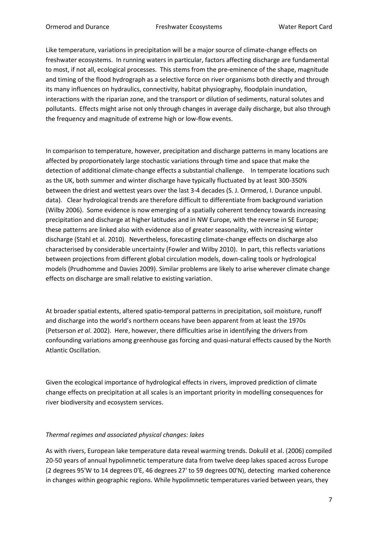Like temperature, variations in precipitation will be a major source of climate-change effects on freshwater ecosystems. In running waters in particular, factors affecting discharge are fundamental to most, if not all, ecological processes. This stems from the pre-eminence of the shape, magnitude and timing of the flood hydrograph as a selective force on river organisms both directly and through its many influences on hydraulics, connectivity, habitat physiography, floodplain inundation, interactions with the riparian zone, and the transport or dilution of sediments, natural solutes and pollutants. Effects might arise not only through changes in average daily discharge, but also through the frequency and magnitude of extreme high or low-flow events.

In comparison to temperature, however, precipitation and discharge patterns in many locations are affected by proportionately large stochastic variations through time and space that make the detection of additional climate-change effects a substantial challenge. In temperate locations such as the UK, both summer and winter discharge have typically fluctuated by at least 300-350% between the driest and wettest years over the last 3-4 decades (S. J. Ormerod, I. Durance unpubl. data). Clear hydrological trends are therefore difficult to differentiate from background variation (Wilby 2006). Some evidence is now emerging of a spatially coherent tendency towards increasing precipitation and discharge at higher latitudes and in NW Europe, with the reverse in SE Europe; these patterns are linked also with evidence also of greater seasonality, with increasing winter discharge (Stahl et al. 2010). Nevertheless, forecasting climate-change effects on discharge also characterised by considerable uncertainty (Fowler and Wilby 2010). In part, this reflects variations between projections from different global circulation models, down-caling tools or hydrological models (Prudhomme and Davies 2009). Similar problems are likely to arise wherever climate change effects on discharge are small relative to existing variation.

At broader spatial extents, altered spatio-temporal patterns in precipitation, soil moisture, runoff and discharge into the world's northern oceans have been apparent from at least the 1970s (Petserson *et al*. 2002). Here, however, there difficulties arise in identifying the drivers from confounding variations among greenhouse gas forcing and quasi-natural effects caused by the North Atlantic Oscillation.

Given the ecological importance of hydrological effects in rivers, improved prediction of climate change effects on precipitation at all scales is an important priority in modelling consequences for river biodiversity and ecosystem services.

## *Thermal regimes and associated physical changes: lakes*

As with rivers, European lake temperature data reveal warming trends. Dokulil et al. (2006) compiled 20-50 years of annual hypolimnetic temperature data from twelve deep lakes spaced across Europe (2 degrees 95'W to 14 degrees 0'E, 46 degrees 27' to 59 degrees 00'N), detecting marked coherence in changes within geographic regions. While hypolimnetic temperatures varied between years, they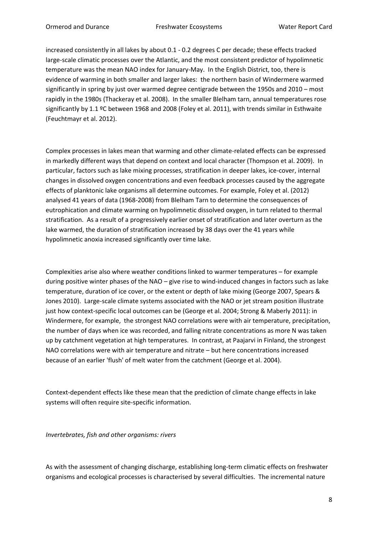increased consistently in all lakes by about 0.1 - 0.2 degrees C per decade; these effects tracked large-scale climatic processes over the Atlantic, and the most consistent predictor of hypolimnetic temperature was the mean NAO index for January-May. In the English District, too, there is evidence of warming in both smaller and larger lakes: the northern basin of Windermere warmed significantly in spring by just over warmed degree centigrade between the 1950s and 2010 – most rapidly in the 1980s (Thackeray et al. 2008). In the smaller Blelham tarn, annual temperatures rose significantly by 1.1 °C between 1968 and 2008 (Foley et al. 2011), with trends similar in Esthwaite (Feuchtmayr et al. 2012).

Complex processes in lakes mean that warming and other climate-related effects can be expressed in markedly different ways that depend on context and local character (Thompson et al. 2009). In particular, factors such as lake mixing processes, stratification in deeper lakes, ice-cover, internal changes in dissolved oxygen concentrations and even feedback processes caused by the aggregate effects of planktonic lake organisms all determine outcomes. For example, Foley et al. (2012) analysed 41 years of data (1968-2008) from Blelham Tarn to determine the consequences of eutrophication and climate warming on hypolimnetic dissolved oxygen, in turn related to thermal stratification. As a result of a progressively earlier onset of stratification and later overturn as the lake warmed, the duration of stratification increased by 38 days over the 41 years while hypolimnetic anoxia increased significantly over time lake.

Complexities arise also where weather conditions linked to warmer temperatures – for example during positive winter phases of the NAO – give rise to wind-induced changes in factors such as lake temperature, duration of ice cover, or the extent or depth of lake mixing (George 2007, Spears & Jones 2010). Large-scale climate systems associated with the NAO or jet stream position illustrate just how context-specific local outcomes can be (George et al. 2004; Strong & Maberly 2011): in Windermere, for example, the strongest NAO correlations were with air temperature, precipitation, the number of days when ice was recorded, and falling nitrate concentrations as more N was taken up by catchment vegetation at high temperatures. In contrast, at Paajarvi in Finland, the strongest NAO correlations were with air temperature and nitrate – but here concentrations increased because of an earlier 'flush' of melt water from the catchment (George et al. 2004).

Context-dependent effects like these mean that the prediction of climate change effects in lake systems will often require site-specific information.

*Invertebrates, fish and other organisms: rivers*

As with the assessment of changing discharge, establishing long-term climatic effects on freshwater organisms and ecological processes is characterised by several difficulties. The incremental nature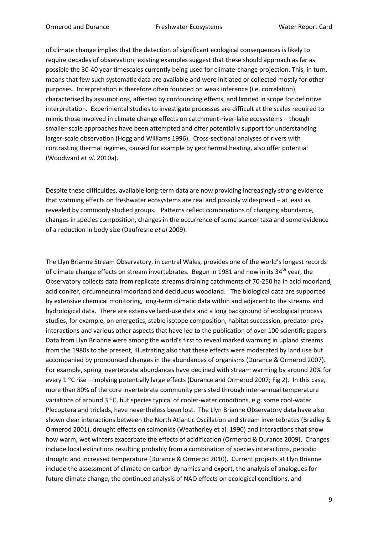of climate change implies that the detection of significant ecological consequences is likely to require decades of observation; existing examples suggest that these should approach as far as possible the 30-40 year timescales currently being used for climate-change projection. This, in turn, means that few such systematic data are available and were initiated or collected mostly for other purposes. Interpretation is therefore often founded on weak inference (i.e. correlation), characterised by assumptions, affected by confounding effects, and limited in scope for definitive interpretation. Experimental studies to investigate processes are difficult at the scales required to mimic those involved in climate change effects on catchment-river-lake ecosystems – though smaller-scale approaches have been attempted and offer potentially support for understanding larger-scale observation (Hogg and Williams 1996). Cross-sectional analyses of rivers with contrasting thermal regimes, caused for example by geothermal heating, also offer potential (Woodward *et al*. 2010a).

Despite these difficulties, available long-term data are now providing increasingly strong evidence that warming effects on freshwater ecosystems are real and possibly widespread – at least as revealed by commonly studied groups. Patterns reflect combinations of changing abundance, changes in species composition, changes in the occurrence of some scarcer taxa and some evidence of a reduction in body size (Daufresne *et al* 2009).

The Llyn Brianne Stream Observatory, in central Wales, provides one of the world's longest records of climate change effects on stream invertebrates. Begun in 1981 and now in its 34<sup>th</sup> year, the Observatory collects data from replicate streams draining catchments of 70-250 ha in acid moorland, acid conifer, circumneutral moorland and deciduous woodland. The biological data are supported by extensive chemical monitoring, long-term climatic data within and adjacent to the streams and hydrological data. There are extensive land-use data and a long background of ecological process studies, for example, on energetics, stable isotope composition, habitat succession, predator-prey interactions and various other aspects that have led to the publication of over 100 scientific papers. Data from Llyn Brianne were among the world's first to reveal marked warming in upland streams from the 1980s to the present, illustrating also that these effects were moderated by land use but accompanied by pronounced changes in the abundances of organisms (Durance & Ormerod 2007). For example, spring invertebrate abundances have declined with stream warming by around 20% for every 1 °C rise – implying potentially large effects (Durance and Ormerod 2007; Fig 2). In this case, more than 80% of the core invertebrate community persisted through inter-annual temperature variations of around  $3^{\circ}$ C, but species typical of cooler-water conditions, e.g. some cool-water Plecoptera and triclads, have nevertheless been lost. The Llyn Brianne Observatory data have also shown clear interactions between the North Atlantic Oscillation and stream invertebrates (Bradley & Ormerod 2001), drought effects on salmonids (Weatherley et al. 1990) and interactions that show how warm, wet winters exacerbate the effects of acidification (Ormerod & Durance 2009). Changes include local extinctions resulting probably from a combination of species interactions, periodic drought and increased temperature (Durance & Ormerod 2010). Current projects at Llyn Brianne include the assessment of climate on carbon dynamics and export, the analysis of analogues for future climate change, the continued analysis of NAO effects on ecological conditions, and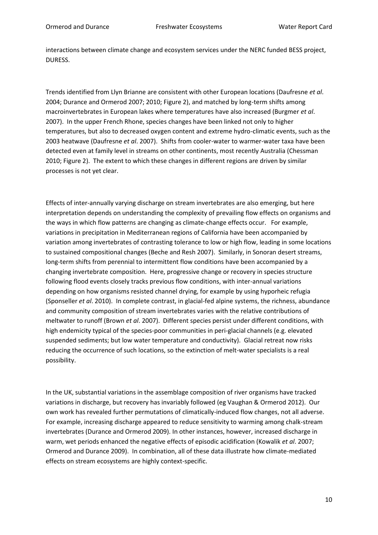interactions between climate change and ecosystem services under the NERC funded BESS project, DURESS.

Trends identified from Llyn Brianne are consistent with other European locations (Daufresne *et al*. 2004; Durance and Ormerod 2007; 2010; Figure 2), and matched by long-term shifts among macroinvertebrates in European lakes where temperatures have also increased (Burgmer *et al*. 2007). In the upper French Rhone, species changes have been linked not only to higher temperatures, but also to decreased oxygen content and extreme hydro-climatic events, such as the 2003 heatwave (Daufresne *et al*. 2007). Shifts from cooler-water to warmer-water taxa have been detected even at family level in streams on other continents, most recently Australia (Chessman 2010; Figure 2). The extent to which these changes in different regions are driven by similar processes is not yet clear.

Effects of inter-annually varying discharge on stream invertebrates are also emerging, but here interpretation depends on understanding the complexity of prevailing flow effects on organisms and the ways in which flow patterns are changing as climate-change effects occur. For example, variations in precipitation in Mediterranean regions of California have been accompanied by variation among invertebrates of contrasting tolerance to low or high flow, leading in some locations to sustained compositional changes (Beche and Resh 2007). Similarly, in Sonoran desert streams, long-term shifts from perennial to intermittent flow conditions have been accompanied by a changing invertebrate composition. Here, progressive change or recovery in species structure following flood events closely tracks previous flow conditions, with inter-annual variations depending on how organisms resisted channel drying, for example by using hyporheic refugia (Sponseller *et al*. 2010). In complete contrast, in glacial-fed alpine systems, the richness, abundance and community composition of stream invertebrates varies with the relative contributions of meltwater to runoff (Brown *et al*. 2007). Different species persist under different conditions, with high endemicity typical of the species-poor communities in peri-glacial channels (e.g. elevated suspended sediments; but low water temperature and conductivity). Glacial retreat now risks reducing the occurrence of such locations, so the extinction of melt-water specialists is a real possibility.

In the UK, substantial variations in the assemblage composition of river organisms have tracked variations in discharge, but recovery has invariably followed (eg Vaughan & Ormerod 2012). Our own work has revealed further permutations of climatically-induced flow changes, not all adverse. For example, increasing discharge appeared to reduce sensitivity to warming among chalk-stream invertebrates (Durance and Ormerod 2009). In other instances, however, increased discharge in warm, wet periods enhanced the negative effects of episodic acidification (Kowalik *et al*. 2007; Ormerod and Durance 2009). In combination, all of these data illustrate how climate-mediated effects on stream ecosystems are highly context-specific.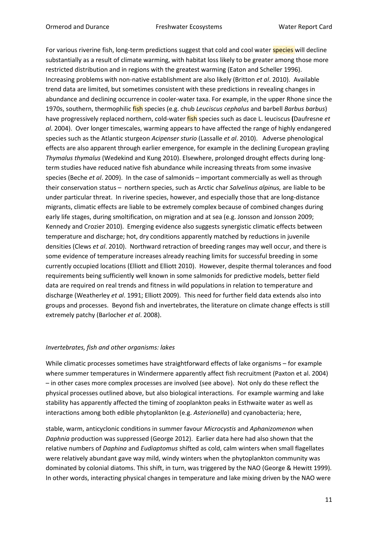For various riverine fish, long-term predictions suggest that cold and cool water **species** will decline substantially as a result of climate warming, with habitat loss likely to be greater among those more restricted distribution and in regions with the greatest warming (Eaton and Scheller 1996). Increasing problems with non-native establishment are also likely (Britton *et al*. 2010). Available trend data are limited, but sometimes consistent with these predictions in revealing changes in abundance and declining occurrence in cooler-water taxa. For example, in the upper Rhone since the 1970s, southern, thermophilic fish species (e.g. chub *Leuciscus cephalus* and barbell *Barbus barbus*) have progressively replaced northern, cold-water fish species such as dace L. leuciscus **(**Daufresne *et al*. 2004). Over longer timescales, warming appears to have affected the range of highly endangered species such as the Atlantic sturgeon *Acipenser sturio* (Lassalle *et al*. 2010). Adverse phenological effects are also apparent through earlier emergence, for example in the declining European grayling *Thymalus thymalus* (Wedekind and Kung 2010). Elsewhere, prolonged drought effects during longterm studies have reduced native fish abundance while increasing threats from some invasive species (Beche *et al*. 2009). In the case of salmonids – important commercially as well as through their conservation status – northern species, such as Arctic char *Salvelinus alpinus,* are liable to be under particular threat. In riverine species, however, and especially those that are long-distance migrants, climatic effects are liable to be extremely complex because of combined changes during early life stages, during smoltification, on migration and at sea (e.g. Jonsson and Jonsson 2009; Kennedy and Crozier 2010). Emerging evidence also suggests synergistic climatic effects between temperature and discharge; hot, dry conditions apparently matched by reductions in juvenile densities (Clews *et al*. 2010). Northward retraction of breeding ranges may well occur, and there is some evidence of temperature increases already reaching limits for successful breeding in some currently occupied locations (Elliott and Elliott 2010). However, despite thermal tolerances and food requirements being sufficiently well known in some salmonids for predictive models, better field data are required on real trends and fitness in wild populations in relation to temperature and discharge (Weatherley *et al*. 1991; Elliott 2009). This need for further field data extends also into groups and processes. Beyond fish and invertebrates, the literature on climate change effects is still extremely patchy (Barlocher *et al*. 2008).

## *Invertebrates, fish and other organisms: lakes*

While climatic processes sometimes have straightforward effects of lake organisms – for example where summer temperatures in Windermere apparently affect fish recruitment (Paxton et al. 2004) – in other cases more complex processes are involved (see above). Not only do these reflect the physical processes outlined above, but also biological interactions. For example warming and lake stability has apparently affected the timing of zooplankton peaks in Esthwaite water as well as interactions among both edible phytoplankton (e.g. *Asterionella*) and cyanobacteria; here,

stable, warm, anticyclonic conditions in summer favour *Microcystis* and *Aphanizomenon* when *Daphnia* production was suppressed (George 2012). Earlier data here had also shown that the relative numbers of *Daphina* and *Eudiaptomus* shifted as cold, calm winters when small flagellates were relatively abundant gave way mild, windy winters when the phytoplankton community was dominated by colonial diatoms. This shift, in turn, was triggered by the NAO (George & Hewitt 1999). In other words, interacting physical changes in temperature and lake mixing driven by the NAO were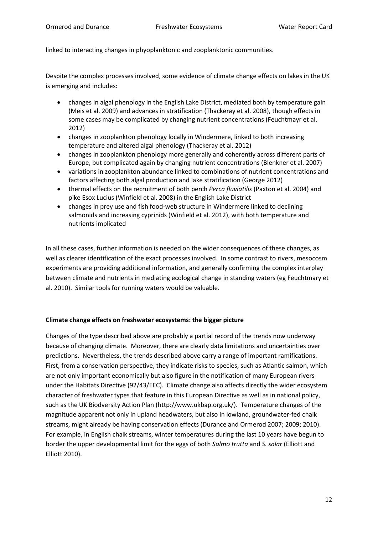linked to interacting changes in phyoplanktonic and zooplanktonic communities.

Despite the complex processes involved, some evidence of climate change effects on lakes in the UK is emerging and includes:

- changes in algal phenology in the English Lake District, mediated both by temperature gain (Meis et al. 2009) and advances in stratification (Thackeray et al. 2008), though effects in some cases may be complicated by changing nutrient concentrations (Feuchtmayr et al. 2012)
- changes in zooplankton phenology locally in Windermere, linked to both increasing temperature and altered algal phenology (Thackeray et al. 2012)
- changes in zooplankton phenology more generally and coherently across different parts of Europe, but complicated again by changing nutrient concentrations (Blenkner et al. 2007)
- variations in zooplankton abundance linked to combinations of nutrient concentrations and factors affecting both algal production and lake stratification (George 2012)
- thermal effects on the recruitment of both perch *Perca fluviatilis* (Paxton et al. 2004) and pike Esox Lucius (Winfield et al. 2008) in the English Lake District
- changes in prey use and fish food-web structure in Windermere linked to declining salmonids and increasing cyprinids (Winfield et al. 2012), with both temperature and nutrients implicated

In all these cases, further information is needed on the wider consequences of these changes, as well as clearer identification of the exact processes involved. In some contrast to rivers, mesocosm experiments are providing additional information, and generally confirming the complex interplay between climate and nutrients in mediating ecological change in standing waters (eg Feuchtmary et al. 2010). Similar tools for running waters would be valuable.

## **Climate change effects on freshwater ecosystems: the bigger picture**

Changes of the type described above are probably a partial record of the trends now underway because of changing climate. Moreover, there are clearly data limitations and uncertainties over predictions. Nevertheless, the trends described above carry a range of important ramifications. First, from a conservation perspective, they indicate risks to species, such as Atlantic salmon, which are not only important economically but also figure in the notification of many European rivers under the Habitats Directive (92/43/EEC). Climate change also affects directly the wider ecosystem character of freshwater types that feature in this European Directive as well as in national policy, such as the UK Biodversity Action Plan (http://www.ukbap.org.uk/). Temperature changes of the magnitude apparent not only in upland headwaters, but also in lowland, groundwater-fed chalk streams, might already be having conservation effects (Durance and Ormerod 2007; 2009; 2010). For example, in English chalk streams, winter temperatures during the last 10 years have begun to border the upper developmental limit for the eggs of both *Salmo trutta* and *S. salar* (Elliott and Elliott 2010).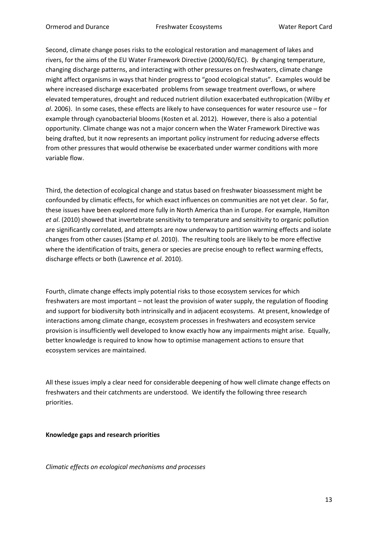Second, climate change poses risks to the ecological restoration and management of lakes and rivers, for the aims of the EU Water Framework Directive (2000/60/EC). By changing temperature, changing discharge patterns, and interacting with other pressures on freshwaters, climate change might affect organisms in ways that hinder progress to "good ecological status". Examples would be where increased discharge exacerbated problems from sewage treatment overflows, or where elevated temperatures, drought and reduced nutrient dilution exacerbated euthropication (Wilby *et al*. 2006). In some cases, these effects are likely to have consequences for water resource use – for example through cyanobacterial blooms (Kosten et al. 2012). However, there is also a potential opportunity. Climate change was not a major concern when the Water Framework Directive was being drafted, but it now represents an important policy instrument for reducing adverse effects from other pressures that would otherwise be exacerbated under warmer conditions with more variable flow.

Third, the detection of ecological change and status based on freshwater bioassessment might be confounded by climatic effects, for which exact influences on communities are not yet clear. So far, these issues have been explored more fully in North America than in Europe. For example, Hamilton *et al*. (2010) showed that invertebrate sensitivity to temperature and sensitivity to organic pollution are significantly correlated, and attempts are now underway to partition warming effects and isolate changes from other causes (Stamp *et al*. 2010). The resulting tools are likely to be more effective where the identification of traits, genera or species are precise enough to reflect warming effects, discharge effects or both (Lawrence *et al*. 2010).

Fourth, climate change effects imply potential risks to those ecosystem services for which freshwaters are most important – not least the provision of water supply, the regulation of flooding and support for biodiversity both intrinsically and in adjacent ecosystems. At present, knowledge of interactions among climate change, ecosystem processes in freshwaters and ecosystem service provision is insufficiently well developed to know exactly how any impairments might arise. Equally, better knowledge is required to know how to optimise management actions to ensure that ecosystem services are maintained.

All these issues imply a clear need for considerable deepening of how well climate change effects on freshwaters and their catchments are understood. We identify the following three research priorities.

## **Knowledge gaps and research priorities**

*Climatic effects on ecological mechanisms and processes*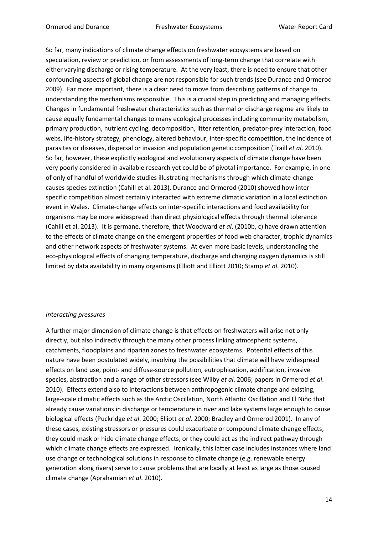So far, many indications of climate change effects on freshwater ecosystems are based on speculation, review or prediction, or from assessments of long-term change that correlate with either varying discharge or rising temperature. At the very least, there is need to ensure that other confounding aspects of global change are not responsible for such trends (see Durance and Ormerod 2009). Far more important, there is a clear need to move from describing patterns of change to understanding the mechanisms responsible. This is a crucial step in predicting and managing effects. Changes in fundamental freshwater characteristics such as thermal or discharge regime are likely to cause equally fundamental changes to many ecological processes including community metabolism, primary production, nutrient cycling, decomposition, litter retention, predator-prey interaction, food webs, life-history strategy, phenology, altered behaviour, inter-specific competition, the incidence of parasites or diseases, dispersal or invasion and population genetic composition (Traill *et al*. 2010). So far, however, these explicitly ecological and evolutionary aspects of climate change have been very poorly considered in available research yet could be of pivotal importance. For example, in one of only of handful of worldwide studies illustrating mechanisms through which climate-change causes species extinction (Cahill et al. 2013), Durance and Ormerod (2010) showed how interspecific competition almost certainly interacted with extreme climatic variation in a local extinction event in Wales. Climate-change effects on inter-specific interactions and food availability for organisms may be more widespread than direct physiological effects through thermal tolerance (Cahill et al. 2013). It is germane, therefore, that Woodward *et al*. (2010b, c) have drawn attention to the effects of climate change on the emergent properties of food web character, trophic dynamics and other network aspects of freshwater systems. At even more basic levels, understanding the eco-physiological effects of changing temperature, discharge and changing oxygen dynamics is still limited by data availability in many organisms (Elliott and Elliott 2010; Stamp *et al*. 2010).

## *Interacting pressures*

A further major dimension of climate change is that effects on freshwaters will arise not only directly, but also indirectly through the many other process linking atmospheric systems, catchments, floodplains and riparian zones to freshwater ecosystems. Potential effects of this nature have been postulated widely, involving the possibilities that climate will have widespread effects on land use, point- and diffuse-source pollution, eutrophication, acidification, invasive species, abstraction and a range of other stressors (see Wilby *et al*. 2006; papers in Ormerod *et al*. 2010). Effects extend also to interactions between anthropogenic climate change and existing, large-scale climatic effects such as the Arctic Oscillation, North Atlantic Oscillation and El Niño that already cause variations in discharge or temperature in river and lake systems large enough to cause biological effects (Puckridge *et al*. 2000; Elliott *et al*. 2000; Bradley and Ormerod 2001). In any of these cases, existing stressors or pressures could exacerbate or compound climate change effects; they could mask or hide climate change effects; or they could act as the indirect pathway through which climate change effects are expressed. Ironically, this latter case includes instances where land use change or technological solutions in response to climate change (e.g. renewable energy generation along rivers) serve to cause problems that are locally at least as large as those caused climate change (Aprahamian *et al*. 2010).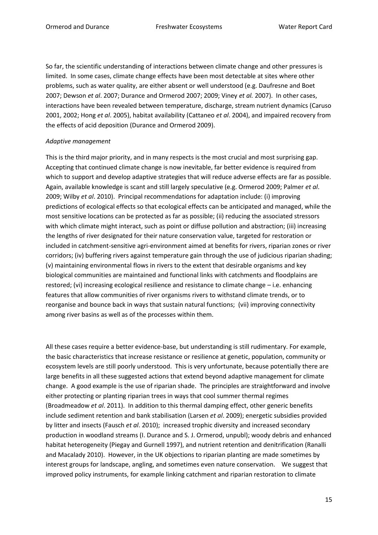So far, the scientific understanding of interactions between climate change and other pressures is limited. In some cases, climate change effects have been most detectable at sites where other problems, such as water quality, are either absent or well understood (e.g. Daufresne and Boet 2007; Dewson *et al*. 2007; Durance and Ormerod 2007; 2009; Viney *et al.* 2007). In other cases, interactions have been revealed between temperature, discharge, stream nutrient dynamics (Caruso 2001, 2002; Hong *et al*. 2005), habitat availability (Cattaneo *et al*. 2004), and impaired recovery from the effects of acid deposition (Durance and Ormerod 2009).

## *Adaptive management*

This is the third major priority, and in many respects is the most crucial and most surprising gap. Accepting that continued climate change is now inevitable, far better evidence is required from which to support and develop adaptive strategies that will reduce adverse effects are far as possible. Again, available knowledge is scant and still largely speculative (e.g. Ormerod 2009; Palmer *et al*. 2009; Wilby *et al*. 2010). Principal recommendations for adaptation include: (i) improving predictions of ecological effects so that ecological effects can be anticipated and managed, while the most sensitive locations can be protected as far as possible; (ii) reducing the associated stressors with which climate might interact, such as point or diffuse pollution and abstraction; (iii) increasing the lengths of river designated for their nature conservation value, targeted for restoration or included in catchment-sensitive agri-environment aimed at benefits for rivers, riparian zones or river corridors; (iv) buffering rivers against temperature gain through the use of judicious riparian shading; (v) maintaining environmental flows in rivers to the extent that desirable organisms and key biological communities are maintained and functional links with catchments and floodplains are restored; (vi) increasing ecological resilience and resistance to climate change – i.e. enhancing features that allow communities of river organisms rivers to withstand climate trends, or to reorganise and bounce back in ways that sustain natural functions; (vii) improving connectivity among river basins as well as of the processes within them.

All these cases require a better evidence-base, but understanding is still rudimentary. For example, the basic characteristics that increase resistance or resilience at genetic, population, community or ecosystem levels are still poorly understood. This is very unfortunate, because potentially there are large benefits in all these suggested actions that extend beyond adaptive management for climate change. A good example is the use of riparian shade. The principles are straightforward and involve either protecting or planting riparian trees in ways that cool summer thermal regimes (Broadmeadow *et al*. 2011). In addition to this thermal damping effect, other generic benefits include sediment retention and bank stabilisation (Larsen *et al*. 2009); energetic subsidies provided by litter and insects (Fausch *et al*. 2010); increased trophic diversity and increased secondary production in woodland streams (I. Durance and S. J. Ormerod, unpubl); woody debris and enhanced habitat heterogeneity (Piegay and Gurnell 1997), and nutrient retention and denitrification (Ranalli and Macalady 2010). However, in the UK objections to riparian planting are made sometimes by interest groups for landscape, angling, and sometimes even nature conservation. We suggest that improved policy instruments, for example linking catchment and riparian restoration to climate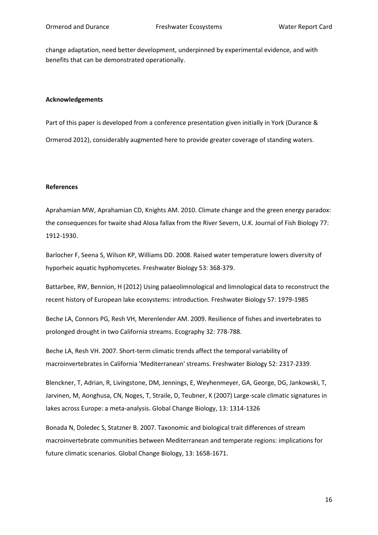change adaptation, need better development, underpinned by experimental evidence, and with benefits that can be demonstrated operationally.

#### **Acknowledgements**

Part of this paper is developed from a conference presentation given initially in York (Durance & Ormerod 2012), considerably augmented here to provide greater coverage of standing waters.

#### **References**

Aprahamian MW, Aprahamian CD, Knights AM. 2010. Climate change and the green energy paradox: the consequences for twaite shad Alosa fallax from the River Severn, U.K. Journal of Fish Biology 77: 1912-1930.

Barlocher F, Seena S, Wilson KP, Williams DD. 2008. Raised water temperature lowers diversity of hyporheic aquatic hyphomycetes. Freshwater Biology 53: 368-379.

Battarbee, RW, Bennion, H (2012) Using palaeolimnological and limnological data to reconstruct the recent history of European lake ecosystems: introduction. Freshwater Biology 57: 1979-1985

Beche LA, Connors PG, Resh VH, Merenlender AM. 2009. Resilience of fishes and invertebrates to prolonged drought in two California streams. Ecography 32: 778-788.

Beche LA, Resh VH. 2007. Short-term climatic trends affect the temporal variability of macroinvertebrates in California 'Mediterranean' streams. Freshwater Biology 52: 2317-2339.

Blenckner, T, Adrian, R, Livingstone, DM, Jennings, E, Weyhenmeyer, GA, George, DG, Jankowski, T, Jarvinen, M, Aonghusa, CN, Noges, T, Straile, D, Teubner, K (2007) Large-scale climatic signatures in lakes across Europe: a meta-analysis. Global Change Biology, 13: 1314-1326

Bonada N, Doledec S, Statzner B. 2007. Taxonomic and biological trait differences of stream macroinvertebrate communities between Mediterranean and temperate regions: implications for future climatic scenarios. Global Change Biology, 13: 1658-1671.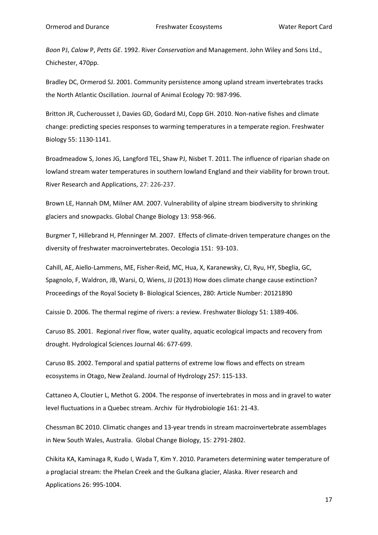*Boon* PJ, *Calow* P, *Petts GE*. 1992. River *Conservation* and Management. John Wiley and Sons Ltd., Chichester, 470pp.

Bradley DC, Ormerod SJ. 2001. Community persistence among upland stream invertebrates tracks the North Atlantic Oscillation. Journal of Animal Ecology 70: 987-996.

Britton JR, Cucherousset J, Davies GD, Godard MJ, Copp GH. 2010. Non-native fishes and climate change: predicting species responses to warming temperatures in a temperate region. Freshwater Biology 55: 1130-1141.

Broadmeadow S, Jones JG, Langford TEL, Shaw PJ, Nisbet T. 2011. The influence of riparian shade on lowland stream water temperatures in southern lowland England and their viability for brown trout. River Research and Applications, 27: 226-237.

Brown LE, Hannah DM, Milner AM. 2007. Vulnerability of alpine stream biodiversity to shrinking glaciers and snowpacks. Global Change Biology 13: 958-966.

Burgmer T, Hillebrand H, Pfenninger M. 2007. Effects of climate-driven temperature changes on the diversity of freshwater macroinvertebrates. Oecologia 151: 93-103.

Cahill, AE, Aiello-Lammens, ME, Fisher-Reid, MC, Hua, X, Karanewsky, CJ, Ryu, HY, Sbeglia, GC, Spagnolo, F, Waldron, JB, Warsi, O, Wiens, JJ (2013) How does climate change cause extinction? Proceedings of the Royal Society B- Biological Sciences, 280: Article Number: 20121890

Caissie D. 2006. The thermal regime of rivers: a review. Freshwater Biology 51: 1389-406.

Caruso BS. 2001. Regional river flow, water quality, aquatic ecological impacts and recovery from drought. Hydrological Sciences Journal 46: 677-699.

Caruso BS. 2002. Temporal and spatial patterns of extreme low flows and effects on stream ecosystems in Otago, New Zealand. Journal of Hydrology 257: 115-133.

Cattaneo A, Cloutier L, Methot G. 2004. The response of invertebrates in moss and in gravel to water level fluctuations in a Quebec stream. Archiv für Hydrobiologie 161: 21-43.

Chessman BC 2010. Climatic changes and 13-year trends in stream macroinvertebrate assemblages in New South Wales, Australia. Global Change Biology, 15: 2791-2802.

Chikita KA, Kaminaga R, Kudo I, Wada T, Kim Y. 2010. Parameters determining water temperature of a proglacial stream: the Phelan Creek and the Gulkana glacier, Alaska. River research and Applications 26: 995-1004.

17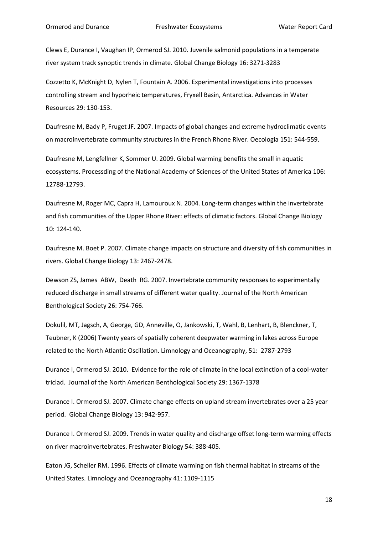Clews E, Durance I, Vaughan IP, Ormerod SJ. 2010. Juvenile salmonid populations in a temperate river system track synoptic trends in climate. Global Change Biology 16: 3271-3283

Cozzetto K, McKnight D, Nylen T, Fountain A. 2006. Experimental investigations into processes controlling stream and hyporheic temperatures, Fryxell Basin, Antarctica. Advances in Water Resources 29: 130-153.

Daufresne M, Bady P, Fruget JF. 2007. Impacts of global changes and extreme hydroclimatic events on macroinvertebrate community structures in the French Rhone River. Oecologia 151: 544-559.

Daufresne M, Lengfellner K, Sommer U. 2009. Global warming benefits the small in aquatic ecosystems. Processding of the National Academy of Sciences of the United States of America 106: 12788-12793.

Daufresne M, Roger MC, Capra H, Lamouroux N. 2004. Long-term changes within the invertebrate and fish communities of the Upper Rhone River: effects of climatic factors. Global Change Biology 10: 124-140.

Daufresne M. Boet P. 2007. Climate change impacts on structure and diversity of fish communities in rivers. Global Change Biology 13: 2467-2478.

Dewson ZS, James ABW, Death RG. 2007. Invertebrate community responses to experimentally reduced discharge in small streams of different water quality. Journal of the North American Benthological Society 26: 754-766.

Dokulil, MT, Jagsch, A, George, GD, Anneville, O, Jankowski, T, Wahl, B, Lenhart, B, Blenckner, T, Teubner, K (2006) Twenty years of spatially coherent deepwater warming in lakes across Europe related to the North Atlantic Oscillation. Limnology and Oceanography, 51: 2787-2793

Durance I, Ormerod SJ. 2010. Evidence for the role of climate in the local extinction of a cool-water triclad. Journal of the North American Benthological Society 29: 1367-1378

Durance I. Ormerod SJ. 2007. Climate change effects on upland stream invertebrates over a 25 year period. Global Change Biology 13: 942-957.

Durance I. Ormerod SJ. 2009. Trends in water quality and discharge offset long-term warming effects on river macroinvertebrates. Freshwater Biology 54: 388-405.

Eaton JG, Scheller RM. 1996. Effects of climate warming on fish thermal habitat in streams of the United States. Limnology and Oceanography 41: 1109-1115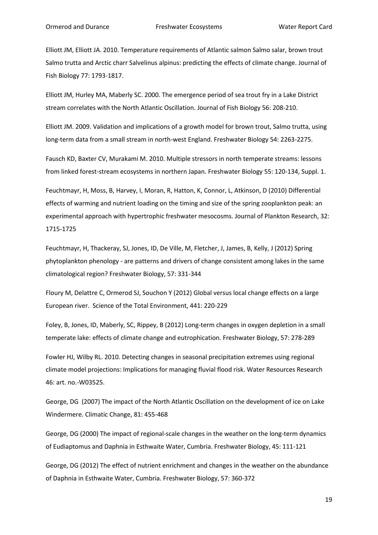Elliott JM, Elliott JA. 2010. Temperature requirements of Atlantic salmon Salmo salar, brown trout Salmo trutta and Arctic charr Salvelinus alpinus: predicting the effects of climate change. Journal of Fish Biology 77: 1793-1817.

Elliott JM, Hurley MA, Maberly SC. 2000. The emergence period of sea trout fry in a Lake District stream correlates with the North Atlantic Oscillation. Journal of Fish Biology 56: 208-210.

Elliott JM. 2009. Validation and implications of a growth model for brown trout, Salmo trutta, using long-term data from a small stream in north-west England. Freshwater Biology 54: 2263-2275.

Fausch KD, Baxter CV, Murakami M. 2010. Multiple stressors in north temperate streams: lessons from linked forest-stream ecosystems in northern Japan. Freshwater Biology 55: 120-134, Suppl. 1.

Feuchtmayr, H, Moss, B, Harvey, I, Moran, R, Hatton, K, Connor, L, Atkinson, D (2010) Differential effects of warming and nutrient loading on the timing and size of the spring zooplankton peak: an experimental approach with hypertrophic freshwater mesocosms. Journal of Plankton Research, 32: 1715-1725

Feuchtmayr, H, Thackeray, SJ, Jones, ID, De Ville, M, Fletcher, J, James, B, Kelly, J (2012) Spring phytoplankton phenology - are patterns and drivers of change consistent among lakes in the same climatological region? Freshwater Biology, 57: 331-344

Floury M, Delattre C, Ormerod SJ, Souchon Y (2012) Global versus local change effects on a large European river. Science of the Total Environment, 441: 220-229

Foley, B, Jones, ID, Maberly, SC, Rippey, B (2012) Long-term changes in oxygen depletion in a small temperate lake: effects of climate change and eutrophication. Freshwater Biology, 57: 278-289

Fowler HJ, Wilby RL. 2010. Detecting changes in seasonal precipitation extremes using regional climate model projections: Implications for managing fluvial flood risk. Water Resources Research 46: art. no.-W03525.

George, DG (2007) The impact of the North Atlantic Oscillation on the development of ice on Lake Windermere. Climatic Change, 81: 455-468

George, DG (2000) The impact of regional-scale changes in the weather on the long-term dynamics of Eudiaptomus and Daphnia in Esthwaite Water, Cumbria. Freshwater Biology, 45: 111-121

George, DG (2012) The effect of nutrient enrichment and changes in the weather on the abundance of Daphnia in Esthwaite Water, Cumbria. Freshwater Biology, 57: 360-372

19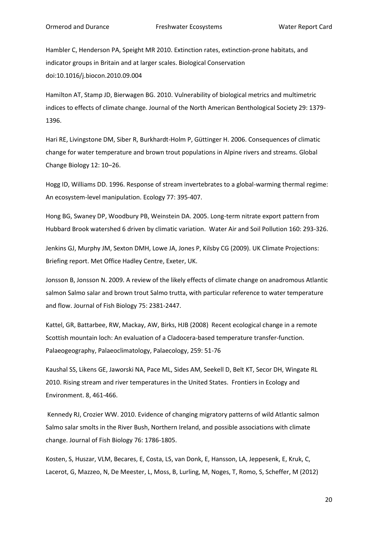Hambler C, Henderson PA, Speight MR 2010. Extinction rates, extinction-prone habitats, and indicator groups in Britain and at larger scales. Biological Conservation doi:10.1016/j.biocon.2010.09.004

Hamilton AT, Stamp JD, Bierwagen BG. 2010. Vulnerability of biological metrics and multimetric indices to effects of climate change. Journal of the North American Benthological Society 29: 1379- 1396.

Hari RE, Livingstone DM, Siber R, Burkhardt-Holm P, Güttinger H. 2006. Consequences of climatic change for water temperature and brown trout populations in Alpine rivers and streams. Global Change Biology 12: 10–26.

Hogg ID, Williams DD. 1996. Response of stream invertebrates to a global-warming thermal regime: An ecosystem-level manipulation. Ecology 77: 395-407.

Hong BG, Swaney DP, Woodbury PB, Weinstein DA. 2005. Long-term nitrate export pattern from Hubbard Brook watershed 6 driven by climatic variation. Water Air and Soil Pollution 160: 293-326.

Jenkins GJ, Murphy JM, Sexton DMH, Lowe JA, Jones P, Kilsby CG (2009). UK Climate Projections: Briefing report. Met Office Hadley Centre, Exeter, UK.

Jonsson B, Jonsson N. 2009. A review of the likely effects of climate change on anadromous Atlantic salmon Salmo salar and brown trout Salmo trutta, with particular reference to water temperature and flow. Journal of Fish Biology 75: 2381-2447.

Kattel, GR, Battarbee, RW, Mackay, AW, Birks, HJB (2008) Recent ecological change in a remote Scottish mountain loch: An evaluation of a Cladocera-based temperature transfer-function. Palaeogeography, Palaeoclimatology, Palaecology, 259: 51-76

Kaushal SS, Likens GE, Jaworski NA, Pace ML, Sides AM, Seekell D, Belt KT, Secor DH, Wingate RL 2010. Rising stream and river temperatures in the United States. Frontiers in Ecology and Environment. 8, 461-466.

Kennedy RJ, Crozier WW. 2010. Evidence of changing migratory patterns of wild Atlantic salmon Salmo salar smolts in the River Bush, Northern Ireland, and possible associations with climate change. Journal of Fish Biology 76: 1786-1805.

Kosten, S, Huszar, VLM, Becares, E, Costa, LS, van Donk, E, Hansson, LA, Jeppesenk, E, Kruk, C, Lacerot, G, Mazzeo, N, De Meester, L, Moss, B, Lurling, M, Noges, T, Romo, S, Scheffer, M (2012)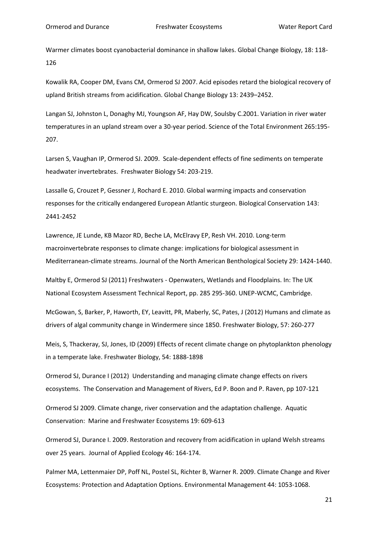Warmer climates boost cyanobacterial dominance in shallow lakes. Global Change Biology, 18: 118- 126

Kowalik RA, Cooper DM, Evans CM, Ormerod SJ 2007. Acid episodes retard the biological recovery of upland British streams from acidification. Global Change Biology 13: 2439–2452.

Langan SJ, Johnston L, Donaghy MJ, Youngson AF, Hay DW, Soulsby C.2001. Variation in river water temperatures in an upland stream over a 30-year period. Science of the Total Environment 265:195- 207.

Larsen S, Vaughan IP, Ormerod SJ. 2009. Scale-dependent effects of fine sediments on temperate headwater invertebrates. Freshwater Biology 54: 203-219.

Lassalle G, Crouzet P, Gessner J, Rochard E. 2010. Global warming impacts and conservation responses for the critically endangered European Atlantic sturgeon. Biological Conservation 143: 2441-2452

Lawrence, JE Lunde, KB Mazor RD, Beche LA, McElravy EP, Resh VH. 2010. Long-term macroinvertebrate responses to climate change: implications for biological assessment in Mediterranean-climate streams. Journal of the North American Benthological Society 29: 1424-1440.

Maltby E, Ormerod SJ (2011) Freshwaters - Openwaters, Wetlands and Floodplains. In: The UK National Ecosystem Assessment Technical Report, pp. 285 295-360. UNEP-WCMC, Cambridge.

McGowan, S, Barker, P, Haworth, EY, Leavitt, PR, Maberly, SC, Pates, J (2012) Humans and climate as drivers of algal community change in Windermere since 1850. Freshwater Biology, 57: 260-277

Meis, S, Thackeray, SJ, Jones, ID (2009) Effects of recent climate change on phytoplankton phenology in a temperate lake. Freshwater Biology, 54: 1888-1898

Ormerod SJ, Durance I (2012) Understanding and managing climate change effects on rivers ecosystems. The Conservation and Management of Rivers, Ed P. Boon and P. Raven, pp 107-121

Ormerod SJ 2009. Climate change, river conservation and the adaptation challenge. Aquatic Conservation: Marine and Freshwater Ecosystems 19: 609-613

Ormerod SJ, Durance I. 2009. Restoration and recovery from acidification in upland Welsh streams over 25 years. Journal of Applied Ecology 46: 164-174.

Palmer MA, Lettenmaier DP, Poff NL, Postel SL, Richter B, Warner R. 2009. Climate Change and River Ecosystems: Protection and Adaptation Options. Environmental Management 44: 1053-1068.

21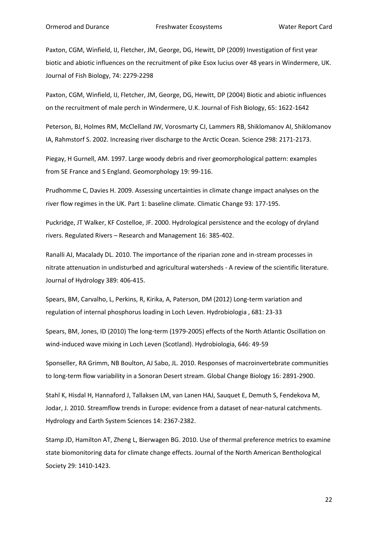Paxton, CGM, Winfield, IJ, Fletcher, JM, George, DG, Hewitt, DP (2009) Investigation of first year biotic and abiotic influences on the recruitment of pike Esox lucius over 48 years in Windermere, UK. Journal of Fish Biology, 74: 2279-2298

Paxton, CGM, Winfield, IJ, Fletcher, JM, George, DG, Hewitt, DP (2004) Biotic and abiotic influences on the recruitment of male perch in Windermere, U.K. Journal of Fish Biology, 65: 1622-1642

Peterson, BJ, Holmes RM, McClelland JW, Vorosmarty CJ, Lammers RB, Shiklomanov AI, Shiklomanov IA, Rahmstorf S. 2002. Increasing river discharge to the Arctic Ocean. Science 298: 2171-2173.

Piegay, H Gurnell, AM. 1997. Large woody debris and river geomorphological pattern: examples from SE France and S England. Geomorphology 19: 99-116.

Prudhomme C, Davies H. 2009. Assessing uncertainties in climate change impact analyses on the river flow regimes in the UK. Part 1: baseline climate. Climatic Change 93: 177-195.

Puckridge, JT Walker, KF Costelloe, JF. 2000. Hydrological persistence and the ecology of dryland rivers. Regulated Rivers – Research and Management 16: 385-402.

Ranalli AJ, Macalady DL. 2010. The importance of the riparian zone and in-stream processes in nitrate attenuation in undisturbed and agricultural watersheds - A review of the scientific literature. Journal of Hydrology 389: 406-415.

Spears, BM, Carvalho, L, Perkins, R, Kirika, A, Paterson, DM (2012) Long-term variation and regulation of internal phosphorus loading in Loch Leven. Hydrobiologia , 681: 23-33

Spears, BM, Jones, ID (2010) The long-term (1979-2005) effects of the North Atlantic Oscillation on wind-induced wave mixing in Loch Leven (Scotland). Hydrobiologia, 646: 49-59

Sponseller, RA Grimm, NB Boulton, AJ Sabo, JL. 2010. Responses of macroinvertebrate communities to long-term flow variability in a Sonoran Desert stream. Global Change Biology 16: 2891-2900.

Stahl K, Hisdal H, Hannaford J, Tallaksen LM, van Lanen HAJ, Sauquet E, Demuth S, Fendekova M, Jodar, J. 2010. Streamflow trends in Europe: evidence from a dataset of near-natural catchments. Hydrology and Earth System Sciences 14: 2367-2382.

Stamp JD, Hamilton AT, Zheng L, Bierwagen BG. 2010. Use of thermal preference metrics to examine state biomonitoring data for climate change effects. Journal of the North American Benthological Society 29: 1410-1423.

22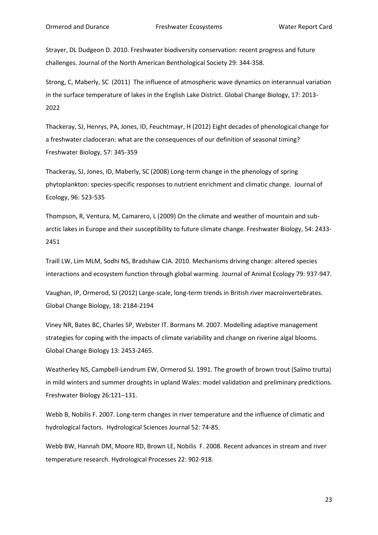Strayer, DL Dudgeon D. 2010. Freshwater biodiversity conservation: recent progress and future challenges. Journal of the North American Benthological Society 29: 344-358.

Strong, C, Maberly, SC (2011) The influence of atmospheric wave dynamics on interannual variation in the surface temperature of lakes in the English Lake District. Global Change Biology, 17: 2013- 2022

Thackeray, SJ, Henrys, PA, Jones, ID, Feuchtmayr, H (2012) Eight decades of phenological change for a freshwater cladoceran: what are the consequences of our definition of seasonal timing? Freshwater Biology, 57: 345-359

Thackeray, SJ, Jones, ID, Maberly, SC (2008) Long-term change in the phenology of spring phytoplankton: species-specific responses to nutrient enrichment and climatic change. Journal of Ecology, 96: 523-535

Thompson, R, Ventura, M, Camarero, L (2009) On the climate and weather of mountain and subarctic lakes in Europe and their susceptibility to future climate change. Freshwater Biology, 54: 2433- 2451

Traill LW, Lim MLM, Sodhi NS, Bradshaw CJA. 2010. Mechanisms driving change: altered species interactions and ecosystem function through global warming. Journal of Animal Ecology 79: 937-947.

Vaughan, IP, Ormerod, SJ (2012) Large-scale, long-term trends in British river macroinvertebrates. Global Change Biology, 18: 2184-2194

Viney NR, Bates BC, Charles SP, Webster IT. Bormans M. 2007. Modelling adaptive management strategies for coping with the impacts of climate variability and change on riverine algal blooms. Global Change Biology 13: 2453-2465.

Weatherley NS, Campbell-Lendrum EW, Ormerod SJ. 1991. The growth of brown trout (Salmo trutta) in mild winters and summer droughts in upland Wales: model validation and preliminary predictions. Freshwater Biology 26:121–131.

Webb B, Nobilis F. 2007. Long-term changes in river temperature and the influence of climatic and hydrological factors. Hydrological Sciences Journal 52: 74-85.

Webb BW, Hannah DM, Moore RD, Brown LE, Nobilis F. 2008. Recent advances in stream and river temperature research. Hydrological Processes 22: 902-918.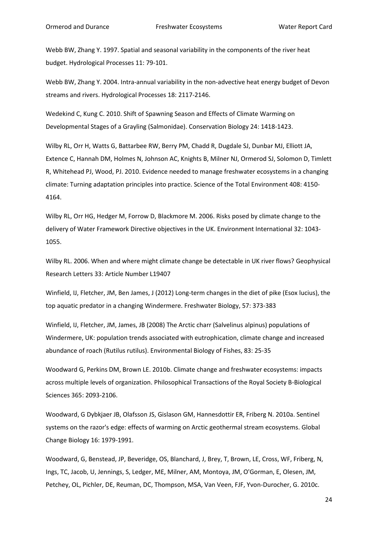Webb BW, Zhang Y. 1997. Spatial and seasonal variability in the components of the river heat budget. Hydrological Processes 11: 79-101.

Webb BW, Zhang Y. 2004. Intra-annual variability in the non-advective heat energy budget of Devon streams and rivers. Hydrological Processes 18: 2117-2146.

Wedekind C, Kung C. 2010. Shift of Spawning Season and Effects of Climate Warming on Developmental Stages of a Grayling (Salmonidae). Conservation Biology 24: 1418-1423.

Wilby RL, Orr H, Watts G, Battarbee RW, Berry PM, Chadd R, Dugdale SJ, Dunbar MJ, Elliott JA, Extence C, Hannah DM, Holmes N, Johnson AC, Knights B, Milner NJ, Ormerod SJ, Solomon D, Timlett R, Whitehead PJ, Wood, PJ. 2010. Evidence needed to manage freshwater ecosystems in a changing climate: Turning adaptation principles into practice. Science of the Total Environment 408: 4150- 4164.

Wilby RL, Orr HG, Hedger M, Forrow D, Blackmore M. 2006. Risks posed by climate change to the delivery of Water Framework Directive objectives in the UK. Environment International 32: 1043- 1055.

Wilby RL. 2006. When and where might climate change be detectable in UK river flows? Geophysical Research Letters 33: Article Number L19407

Winfield, IJ, Fletcher, JM, Ben James, J (2012) Long-term changes in the diet of pike (Esox lucius), the top aquatic predator in a changing Windermere. Freshwater Biology, 57: 373-383

Winfield, IJ, Fletcher, JM, James, JB (2008) The Arctic charr (Salvelinus alpinus) populations of Windermere, UK: population trends associated with eutrophication, climate change and increased abundance of roach (Rutilus rutilus). Environmental Biology of Fishes, 83: 25-35

Woodward G, Perkins DM, Brown LE. 2010b. Climate change and freshwater ecosystems: impacts across multiple levels of organization. Philosophical Transactions of the Royal Society B-Biological Sciences 365: 2093-2106.

Woodward, G Dybkjaer JB, Olafsson JS, Gislason GM, Hannesdottir ER, Friberg N. 2010a. Sentinel systems on the razor's edge: effects of warming on Arctic geothermal stream ecosystems. Global Change Biology 16: 1979-1991.

Woodward, G, Benstead, JP, Beveridge, OS, Blanchard, J, Brey, T, Brown, LE, Cross, WF, Friberg, N, Ings, TC, Jacob, U, Jennings, S, Ledger, ME, Milner, AM, Montoya, JM, O'Gorman, E, Olesen, JM, Petchey, OL, Pichler, DE, Reuman, DC, Thompson, MSA, Van Veen, FJF, Yvon-Durocher, G. 2010c.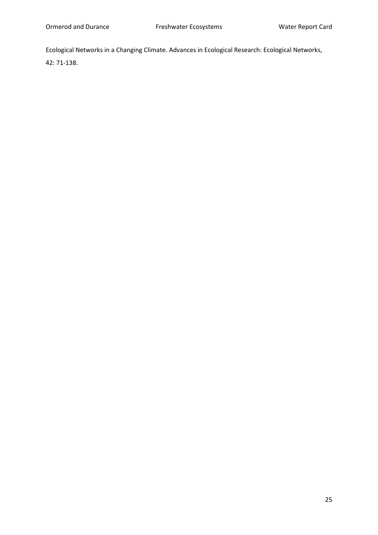Ecological Networks in a Changing Climate. Advances in Ecological Research: Ecological Networks,

42: 71-138.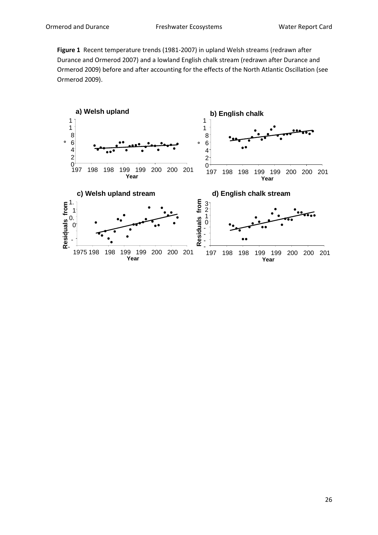**Figure 1** Recent temperature trends (1981-2007) in upland Welsh streams (redrawn after Durance and Ormerod 2007) and a lowland English chalk stream (redrawn after Durance and Ormerod 2009) before and after accounting for the effects of the North Atlantic Oscillation (see Ormerod 2009).